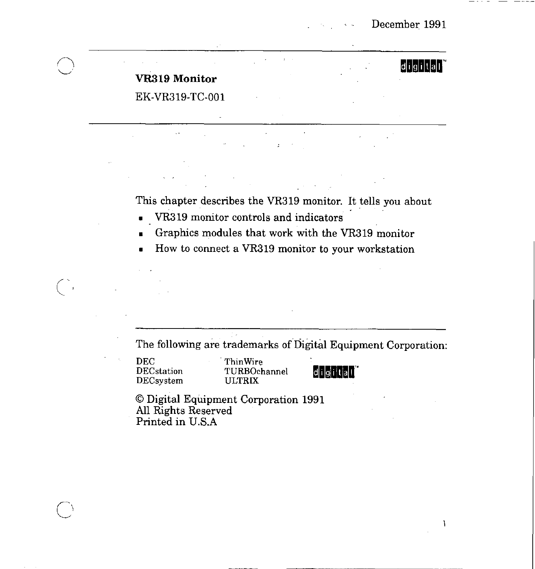$|d|$ i $|g|$ i $|t|a|$ 

F

# **VRa19 Monitor**

EK-VR319-TC-001

This chapter describes the VR319 monitor. It tells you about

- VR319 monitor controls and indicators
- Graphics modules that work with the VR319 monitor
- How to connect a VR319 monitor to your workstation

The following are trademarks of Digital Equipment Corporation:

DEC ThinWire DECsystem

 $(\quad,$ 

DECstation TURBOchannel **digited**<br>DECsystem ULTRIX

© Digital Equipment Corporation 1991 All Rights Reserved Printed in U.S.A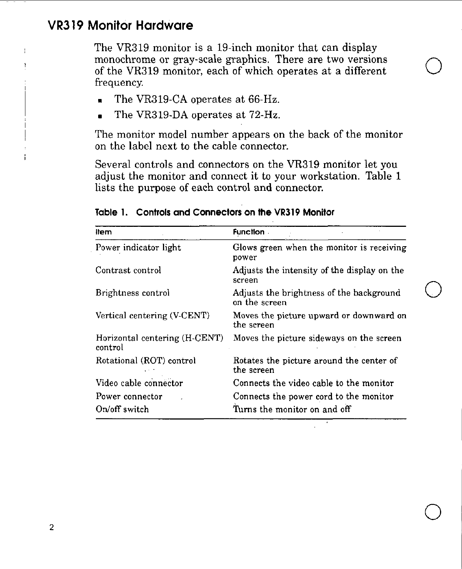# **VR319 Monitor Hardware**

 $\bar{1}$ f, The VR319 monitor is a 19-inch monitor that can display monochrome or gray-scale graphics. There are two versions of the VR319 monitor, each of which operates at a different frequency.

 $\bigcirc$ 

 $\bigcirc$ 

 $\bigcirc$ 

- The VR319-CA operates at 66-Hz.
- The VR319-DA operates at 72-Hz.

The monitor model number appears on the back of the monitor on the label next to the cable connector.

Several controls and connectors on the VR319 monitor let you adjust the monitor and connect it to your workstation. Table 1 lists the purpose of each control and connector.

| ltem                                     | <b>Function</b>                                           |
|------------------------------------------|-----------------------------------------------------------|
| Power indicator light                    | Glows green when the monitor is receiving<br>power        |
| Contrast control                         | Adjusts the intensity of the display on the<br>screen     |
| Brightness control                       | Adjusts the brightness of the background<br>on the screen |
| Vertical centering (V-CENT)              | Moves the picture upward or downward on<br>the screen     |
| Horizontal centering (H-CENT)<br>control | Moves the picture sideways on the screen                  |
| Rotational (ROT) control                 | Rotates the picture around the center of<br>the screen    |
| Video cable connector                    | Connects the video cable to the monitor                   |
| Power connector                          | Connects the power cord to the monitor                    |
| On/off switch                            | Turns the monitor on and off                              |

#### **Table 1. Controls and Connectors on the VRJ 19 Monitor**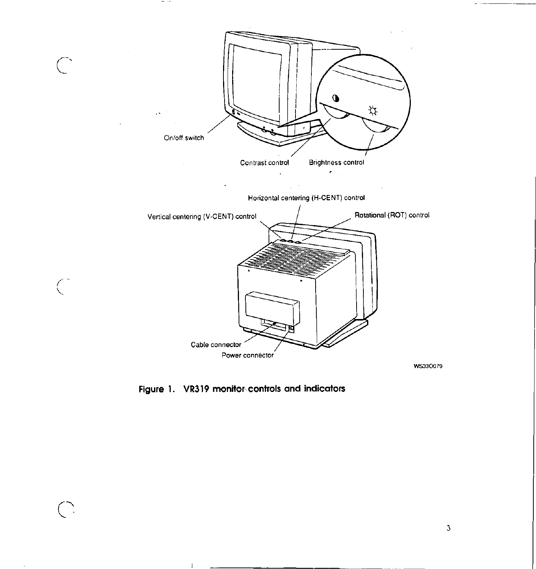

 $\sim$   $\sim$   $\sim$ 

Figure 1. VR319 monitor, controls and indicators

 $\overline{\phantom{a}}$ 

سيست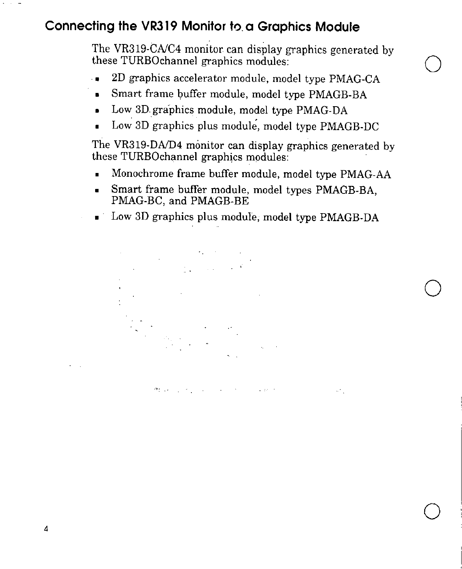# **Connecting the VR319 Monitor to. a Graphics Module**

The VR319-CNC4 monitor can display graphics generated by these TURBOchannel graphics modules: Q

- . 2D graphics accelerator module, model type PMAG-CA
- Smart frame buffer module, model type PMAGB-BA
- Low 30.graphics module, model type PMAG-DA
- Low 3D graphics plus module, model type PMAGB-DC

The VR319-DND4 monitor can display graphics generated by these TURBOchannel graphics modules:

- Monochrome frame buffer module, model type PMAG-AA
- Smart frame buffer module, model types PMAGB-BA, PMAG-BC, and PMAGB-BE
- Low 3D graphics plus module, model type PMAGB-DA

 $\bigcirc$ 

 $\omega_{\rm eff}$ 

 $\bigcirc$ 



When the state of the state of the state of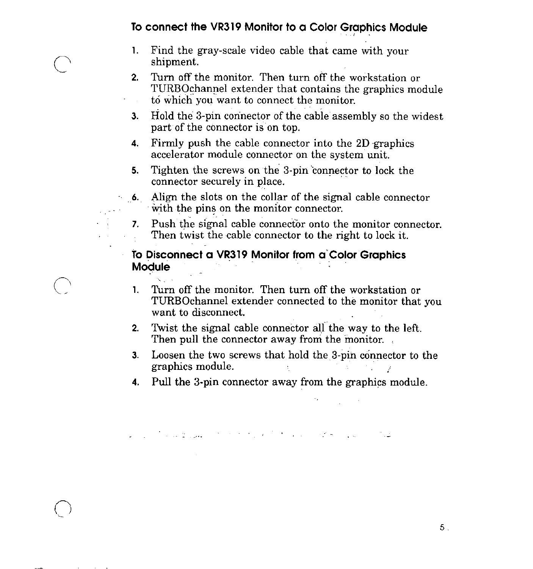### **To connect the VR319 Monitor to a Color Graphics Module**

'

1. Find the gray-scale video cable that came with your shipment.

 $\bigcirc$ 

- **2.** Turn off the monitor. Then turn off the workstation or TURBOchannel extender that contains the graphics module to which you want to connect the monitor.
- **3.** Hold the 3-pin connector of the cabie assembly so the widest part of the connector is on top.
- **4.**  Firmly push the cable connector into the 2D graphics accelerator module connector on the system unit.
- **5.**  Tighten the screws on the 3-pin connector to lock the connector securely in place.
- **.. 6.**  Align the slots on the collar of the signal cable connector with the pins on the monitor connector.
- **7.** Push the signal cable connector onto the monitor connector. Then twist the cable connector to the right to lock it.

To Disconnect a VR319 Monitor from a Color Graphics Module

 $\mathbf{Q}^{\text{max}}_{\text{max}}$ 

- **1.** Turn off the monitor. Then turn off the workstation or TURBOchannel extender connected to the monitor that you want to disconnect.
- **2.** Twist the signal cable connector alf the way to the left. Then pull the connector away from the monitor.
- **3.** Loosen the two screws that hold the 3-pin connector to the graphics module.

 $\mathcal{D}^{\text{max}}_{\text{max}}$  and  $\mathcal{D}^{\text{max}}_{\text{max}}$ 

**4.** Pull the 3-pin connector away from the graphics module.

ر دی.<br>منابع است که با است که است و است که است که است که است که است که است که است که است که است که است که است که است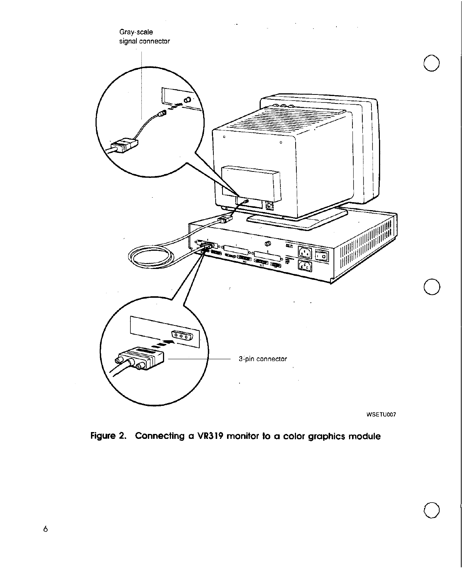

WSETU007

 $\bigcirc$ 

Figure 2. Connecting a **VR319** monitor to a color graphics module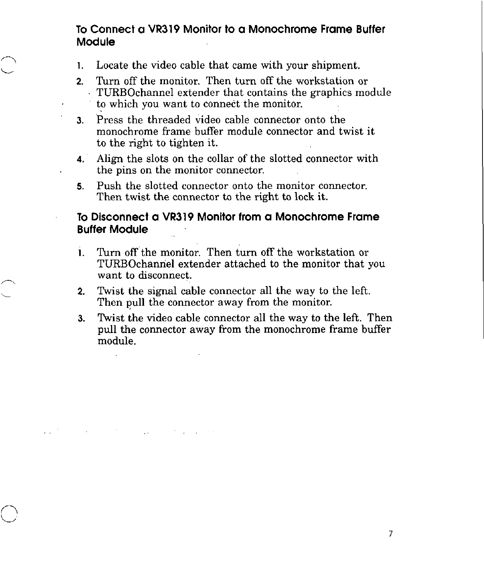## **To Connect a VR319 Monitor to a Monochrome Frame Buffer Module**

1. Locate the video cable that came with your shipment.

 $\bigcap$  $\sim$ 

,

- **2.** Turn off the monitor. Then turn off the workstation or TURBOchannel extender that contains the graphics module to which you want to connect the monitor.
- **3.** Press the threaded video cable connector onto the monochrome frame buffer module connector and twist it to the right to tighten it.
- **4.** · Align the slots on the collar of the slotted connector with the pins on the monitor connector.
- **5.** Push the slotted connector onto the monitor connector. Then twist the connector to the right to lock it.

#### **To Disconnect a VR319 Monitor from a Monochrome Frame Buffer Module**

- l. Turn off the monitor. Then turn off the workstation or TURBOchanriel extender attached to the monitor that you want to disconnect.
- **2.** Twist the signal cable connector all the way to the left. Then pull the connector away from the monitor.

 $\mathcal{L}(\mathcal{L}^{\mathcal{L}}(\mathcal{L}^{\mathcal{L}}(\mathcal{L}^{\mathcal{L}}(\mathcal{L}^{\mathcal{L}}(\mathcal{L}^{\mathcal{L}}(\mathcal{L}^{\mathcal{L}}(\mathcal{L}^{\mathcal{L}}(\mathcal{L}^{\mathcal{L}}(\mathcal{L}^{\mathcal{L}}(\mathcal{L}^{\mathcal{L}}(\mathcal{L}^{\mathcal{L}}(\mathcal{L}^{\mathcal{L}}(\mathcal{L}^{\mathcal{L}}(\mathcal{L}^{\mathcal{L}}(\mathcal{L}^{\mathcal{L}}(\mathcal{L}^{\mathcal{L}}(\mathcal{L}$ 

**3.** Twist the video cable connector all the way to the left. Then pull the connector away from the monochrome frame buffer module.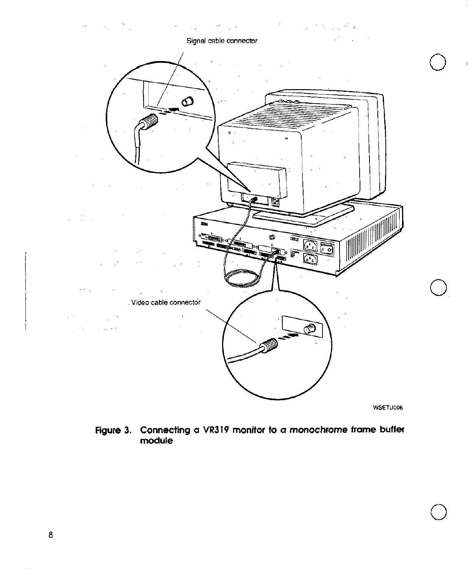

**Figure 3. Connecting a VR319 monitor to a monochrome frame buffer module** 

 $\bigcirc$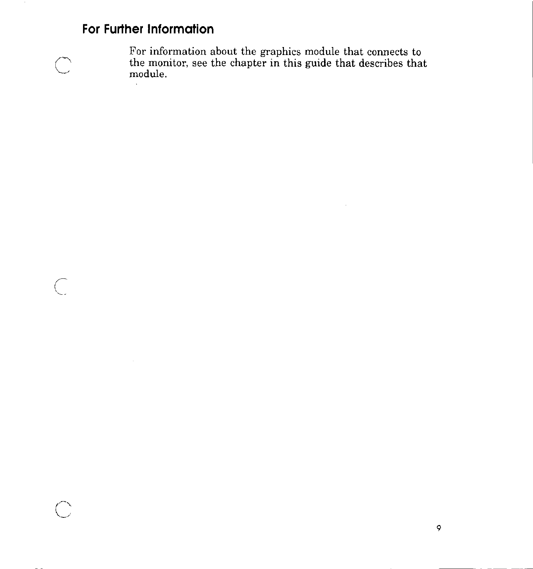# **For Further Information**

 $\mathcal{A}^{\mathcal{A}}$ 

 $\sim$ 



 $\bigcap$ 

For information about the graphics module that connects to the monitor, see the chapter in this guide that describes that module.

 $\sim 10^{11}$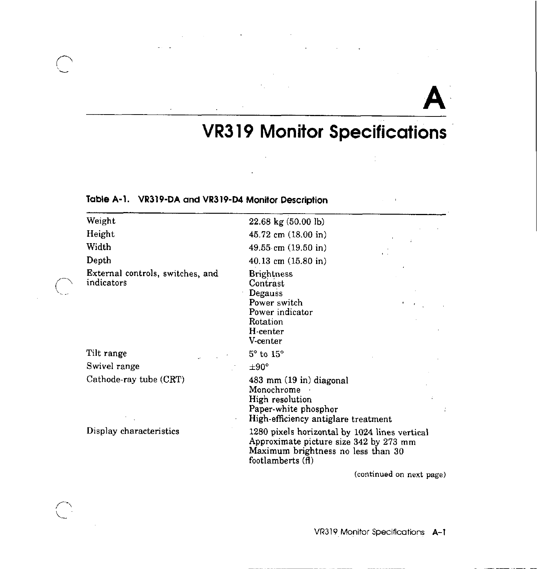# **A**

# **VR319 Monitor Specifications**

 $\frac{1}{4}$ 

## **Table A-1. VR319-DA and VR319-D4 Monitor Description**

 $\sim$ 

 $\mathcal{L}_{\mathcal{A}}$ 

 $\sum$ 

| Weight                                         | $22.68 \text{ kg}$ (50.00 lb)                                                                                                                     |
|------------------------------------------------|---------------------------------------------------------------------------------------------------------------------------------------------------|
| Height                                         | 45.72 cm (18.00 in)                                                                                                                               |
| Width                                          | 49.55 cm (19.50 in)                                                                                                                               |
| Depth                                          | 40.13 cm $(15.80 \text{ in})$                                                                                                                     |
| External controls, switches, and<br>indicators | <b>Brightness</b><br>Contrast<br>Degauss<br>Power switch<br>Power indicator<br>Rotation<br>H-center<br>V-center                                   |
| Tilt range                                     | $5^\circ$ to $15^\circ$                                                                                                                           |
| Swivel range                                   | $\pm 90^{\circ}$                                                                                                                                  |
| Cathode-ray tube (CRT)                         | 483 mm (19 in) diagonal<br>Monochrome<br>High resolution<br>Paper-white phosphor<br>High-efficiency antiglare treatment                           |
| Display characteristics                        | 1280 pixels horizontal by 1024 lines vertical<br>Approximate picture size 342 by 273 mm<br>Maximum brightness no less than 30<br>footlamberts (f) |
|                                                | (continued on next page)                                                                                                                          |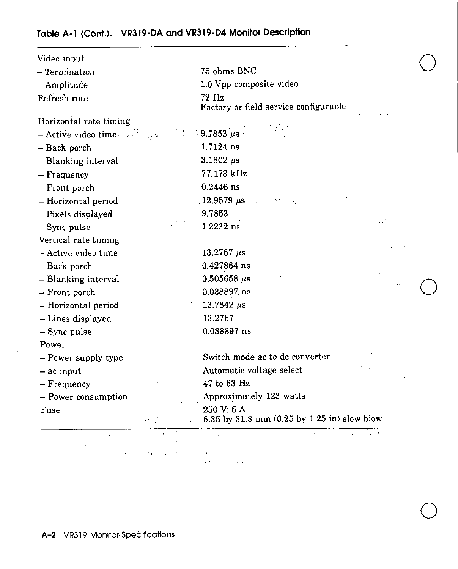# **Table A-1 (Cont.). VR319-DA and VR319-D4 Monitor Description**

| Video input                                |                                                           |  |
|--------------------------------------------|-----------------------------------------------------------|--|
| - Termination                              | 75 ohms BNC                                               |  |
| - Amplitude                                | 1.0 Vpp composite video                                   |  |
| Refresh rate                               | 72 Hz<br>Factory or field service configurable            |  |
| Horizontal rate timing                     |                                                           |  |
| $-$ Active video time $\sim$ $\sim$ $\sim$ | $\frac{1}{2}$ 9.7853 $\mu$ s.<br>$\frac{1}{2}$            |  |
| - Back porch                               | 1.7124 ns                                                 |  |
| - Blanking interval                        | 3.1802 $\mu$ s                                            |  |
| – Frequency                                | 77.173 kHz                                                |  |
| - Front porch                              | $0.2446$ ns                                               |  |
| - Horizontal period                        | $12.9579 \mu s$                                           |  |
| - Pixels displayed                         | 9.7853                                                    |  |
| - Sync pulse                               | والكورة<br>$1.2232$ ns                                    |  |
| Vertical rate timing                       |                                                           |  |
| - Active video time                        | $13.2767 \mu s$                                           |  |
| - Back porch                               | $0.427864$ ns                                             |  |
| - Blanking interval                        | $0.505658 \ \mu s$                                        |  |
| - Front porch                              | 0.038897.ns                                               |  |
| - Horizontal period                        | 13.7842 $\mu$ s                                           |  |
| - Lines displayed                          | 13.2767                                                   |  |
| $-$ Sync pulse                             | 0.038897 ns                                               |  |
| Power                                      |                                                           |  |
| - Power supply type                        | Switch mode ac to dc converter                            |  |
| - ac input                                 | Automatic voltage select                                  |  |
| $-$ Frequency                              | 47 to 63 Hz                                               |  |
| - Power consumption                        | Approximately 123 watts                                   |  |
| Fuse                                       | 250 V: 5 A<br>6.35 by 31.8 mm (0.25 by 1.25 in) slow blow |  |
| . I.                                       | $\mathcal{F}=\mathcal{F}$                                 |  |

 $\mathcal{L}^{\mathcal{L}}$  , and  $\mathcal{L}^{\mathcal{L}}$  , and  $\mathcal{L}^{\mathcal{L}}$  , and  $\mathcal{L}^{\mathcal{L}}$  , and  $\mathcal{L}^{\mathcal{L}}$ 

 $\bigcirc$ 

 $\mathcal{A}(\mathcal{A})$  and  $\mathcal{A}(\mathcal{A})$  are the set of  $\mathcal{A}(\mathcal{A})$